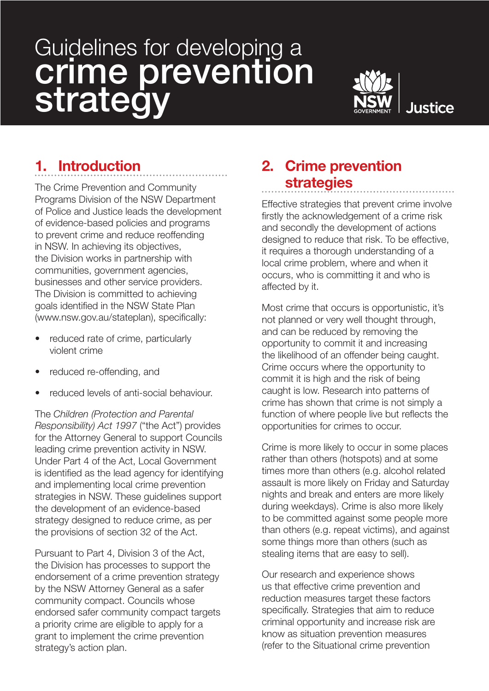# Guidelines for developing a crime prevention strategy



# 1. Introduction

The Crime Prevention and Community Programs Division of the NSW Department of Police and Justice leads the development of evidence-based policies and programs to prevent crime and reduce reoffending in NSW. In achieving its objectives, the Division works in partnership with communities, government agencies, businesses and other service providers. The Division is committed to achieving goals identified in the NSW State Plan (www.nsw.gov.au/stateplan), specifically:

- reduced rate of crime, particularly violent crime
- reduced re-offending, and
- reduced levels of anti-social behaviour.

The *Children (Protection and Parental Responsibility) Act 1997* ("the Act") provides for the Attorney General to support Councils leading crime prevention activity in NSW. Under Part 4 of the Act, Local Government is identified as the lead agency for identifying and implementing local crime prevention strategies in NSW. These guidelines support the development of an evidence-based strategy designed to reduce crime, as per the provisions of section 32 of the Act.

Pursuant to Part 4, Division 3 of the Act, the Division has processes to support the endorsement of a crime prevention strategy by the NSW Attorney General as a safer community compact. Councils whose endorsed safer community compact targets a priority crime are eligible to apply for a grant to implement the crime prevention strategy's action plan.

# 2. Crime prevention strategies

Effective strategies that prevent crime involve firstly the acknowledgement of a crime risk and secondly the development of actions designed to reduce that risk. To be effective, it requires a thorough understanding of a local crime problem, where and when it occurs, who is committing it and who is affected by it.

Most crime that occurs is opportunistic, it's not planned or very well thought through, and can be reduced by removing the opportunity to commit it and increasing the likelihood of an offender being caught. Crime occurs where the opportunity to commit it is high and the risk of being caught is low. Research into patterns of crime has shown that crime is not simply a function of where people live but reflects the opportunities for crimes to occur.

Crime is more likely to occur in some places rather than others (hotspots) and at some times more than others (e.g. alcohol related assault is more likely on Friday and Saturday nights and break and enters are more likely during weekdays). Crime is also more likely to be committed against some people more than others (e.g. repeat victims), and against some things more than others (such as stealing items that are easy to sell).

Our research and experience shows us that effective crime prevention and reduction measures target these factors specifically. Strategies that aim to reduce criminal opportunity and increase risk are know as situation prevention measures (refer to the Situational crime prevention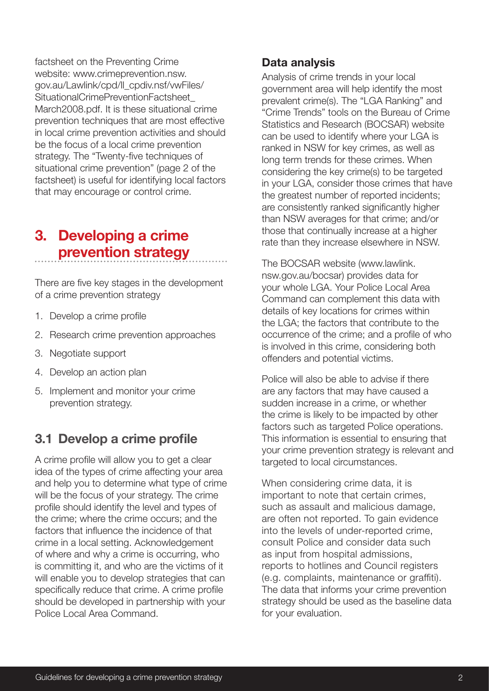factsheet on the Preventing Crime website: www.crimeprevention.nsw. gov.au/Lawlink/cpd/ll\_cpdiv.nsf/vwFiles/ SituationalCrimePreventionFactsheet March2008.pdf. It is these situational crime prevention techniques that are most effective in local crime prevention activities and should be the focus of a local crime prevention strategy. The "Twenty-five techniques of situational crime prevention" (page 2 of the factsheet) is useful for identifying local factors that may encourage or control crime.

## 3. Developing a crime prevention strategy

There are five key stages in the development of a crime prevention strategy

- 1. Develop a crime profile
- 2. Research crime prevention approaches
- 3. Negotiate support
- 4. Develop an action plan
- 5. Implement and monitor your crime prevention strategy.

## 3.1 Develop a crime profile

A crime profile will allow you to get a clear idea of the types of crime affecting your area and help you to determine what type of crime will be the focus of your strategy. The crime profile should identify the level and types of the crime; where the crime occurs; and the factors that influence the incidence of that crime in a local setting. Acknowledgement of where and why a crime is occurring, who is committing it, and who are the victims of it will enable you to develop strategies that can specifically reduce that crime. A crime profile should be developed in partnership with your Police Local Area Command.

#### Data analysis

Analysis of crime trends in your local government area will help identify the most prevalent crime(s). The "LGA Ranking" and "Crime Trends" tools on the Bureau of Crime Statistics and Research (BOCSAR) website can be used to identify where your LGA is ranked in NSW for key crimes, as well as long term trends for these crimes. When considering the key crime(s) to be targeted in your LGA, consider those crimes that have the greatest number of reported incidents; are consistently ranked significantly higher than NSW averages for that crime; and/or those that continually increase at a higher rate than they increase elsewhere in NSW.

The BOCSAR website (www.lawlink. nsw.gov.au/bocsar) provides data for your whole LGA. Your Police Local Area Command can complement this data with details of key locations for crimes within the LGA; the factors that contribute to the occurrence of the crime; and a profile of who is involved in this crime, considering both offenders and potential victims.

Police will also be able to advise if there are any factors that may have caused a sudden increase in a crime, or whether the crime is likely to be impacted by other factors such as targeted Police operations. This information is essential to ensuring that your crime prevention strategy is relevant and targeted to local circumstances.

When considering crime data, it is important to note that certain crimes, such as assault and malicious damage, are often not reported. To gain evidence into the levels of under-reported crime, consult Police and consider data such as input from hospital admissions, reports to hotlines and Council registers (e.g. complaints, maintenance or graffiti). The data that informs your crime prevention strategy should be used as the baseline data for your evaluation.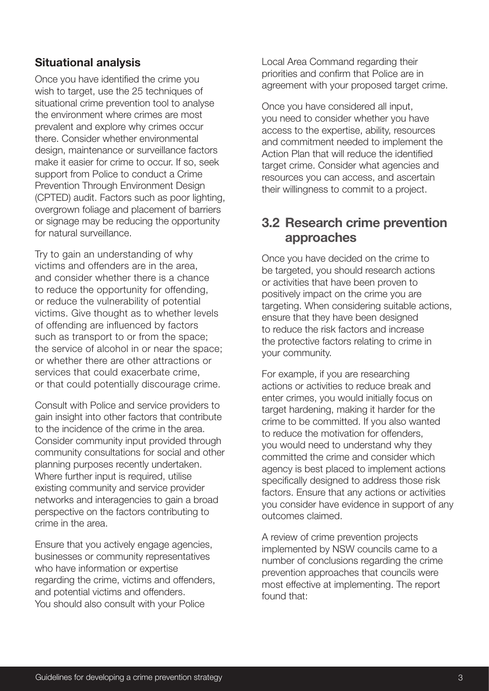#### Situational analysis

Once you have identified the crime you wish to target, use the 25 techniques of situational crime prevention tool to analyse the environment where crimes are most prevalent and explore why crimes occur there. Consider whether environmental design, maintenance or surveillance factors make it easier for crime to occur. If so, seek support from Police to conduct a Crime Prevention Through Environment Design (CPTED) audit. Factors such as poor lighting, overgrown foliage and placement of barriers or signage may be reducing the opportunity for natural surveillance.

Try to gain an understanding of why victims and offenders are in the area, and consider whether there is a chance to reduce the opportunity for offending, or reduce the vulnerability of potential victims. Give thought as to whether levels of offending are influenced by factors such as transport to or from the space; the service of alcohol in or near the space; or whether there are other attractions or services that could exacerbate crime, or that could potentially discourage crime.

Consult with Police and service providers to gain insight into other factors that contribute to the incidence of the crime in the area. Consider community input provided through community consultations for social and other planning purposes recently undertaken. Where further input is required, utilise existing community and service provider networks and interagencies to gain a broad perspective on the factors contributing to crime in the area.

Ensure that you actively engage agencies, businesses or community representatives who have information or expertise regarding the crime, victims and offenders, and potential victims and offenders. You should also consult with your Police

Local Area Command regarding their priorities and confirm that Police are in agreement with your proposed target crime.

Once you have considered all input, you need to consider whether you have access to the expertise, ability, resources and commitment needed to implement the Action Plan that will reduce the identified target crime. Consider what agencies and resources you can access, and ascertain their willingness to commit to a project.

#### 3.2 Research crime prevention approaches

Once you have decided on the crime to be targeted, you should research actions or activities that have been proven to positively impact on the crime you are targeting. When considering suitable actions, ensure that they have been designed to reduce the risk factors and increase the protective factors relating to crime in your community.

For example, if you are researching actions or activities to reduce break and enter crimes, you would initially focus on target hardening, making it harder for the crime to be committed. If you also wanted to reduce the motivation for offenders, you would need to understand why they committed the crime and consider which agency is best placed to implement actions specifically designed to address those risk factors. Ensure that any actions or activities you consider have evidence in support of any outcomes claimed.

A review of crime prevention projects implemented by NSW councils came to a number of conclusions regarding the crime prevention approaches that councils were most effective at implementing. The report found that: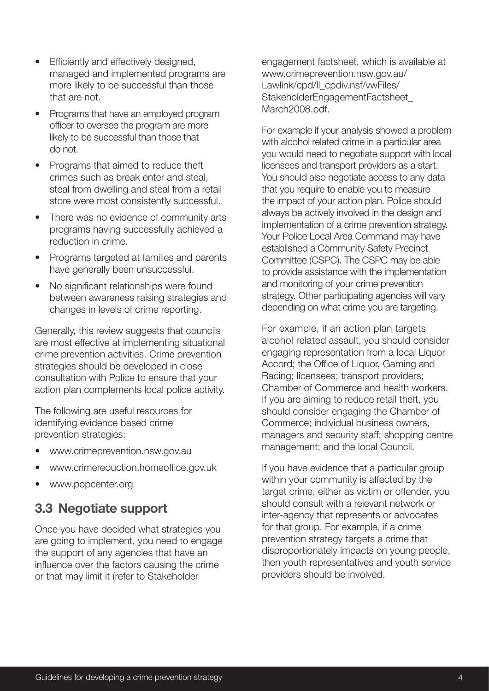- Efficiently and effectively designed, managed and implemented programs are more likely to be successful than those that are not.
- Programs that have an employed program officer to oversee the program are more likely to be successful than those that do not.
- Programs that aimed to reduce theft crimes such as break enter and steal, steal from dwelling and steal from a retail store were most consistently successful.
- There was no evidence of community arts programs having successfully achieved a reduction in crime.
- Programs targeted at families and parents have generally been unsuccessful.
- No significant relationships were found between awareness raising strategies and changes in levels of crime reporting.

Generally, this review suggests that councils are most effective at implementing situational crime prevention activities. Crime prevention strategies should be developed in close consultation with Police to ensure that your action plan complements local police activity.

The following are useful resources for identifying evidence based crime prevention strategies:

- www.crimeprevention.nsw.gov.au
- www.crimereduction.homeoffice.gov.uk
- www.popcenter.org

## 3.3 Negotiate support

Once you have decided what strategies you are going to implement, you need to engage the support of any agencies that have an influence over the factors causing the crime or that may limit it (refer to Stakeholder

engagement factsheet, which is available at www.crimeprevention.nsw.gov.au/ Lawlink/cpd/ll\_cpdiv.nsf/vwFiles/ StakeholderEngagementFactsheet\_ March2008.pdf.

For example if your analysis showed a problem with alcohol related crime in a particular area you would need to negotiate support with local licensees and transport providers as a start. You should also negotiate access to any data that you require to enable you to measure the impact of your action plan. Police should always be actively involved in the design and implementation of a crime prevention strategy. Your Police Local Area Command may have established a Community Safety Precinct Committee (CSPC). The CSPC may be able to provide assistance with the implementation and monitoring of your crime prevention strategy. Other participating agencies will vary depending on what crime you are targeting.

For example, if an action plan targets alcohol related assault, you should consider engaging representation from a local Liquor Accord; the Office of Liquor, Gaming and Racing; licensees; transport providers; Chamber of Commerce and health workers. If you are aiming to reduce retail theft, you should consider engaging the Chamber of Commerce; individual business owners, managers and security staff; shopping centre management; and the local Council.

If you have evidence that a particular group within your community is affected by the target crime, either as victim or offender, you should consult with a relevant network or inter-agency that represents or advocates for that group. For example, if a crime prevention strategy targets a crime that disproportionately impacts on young people, then youth representatives and youth service providers should be involved.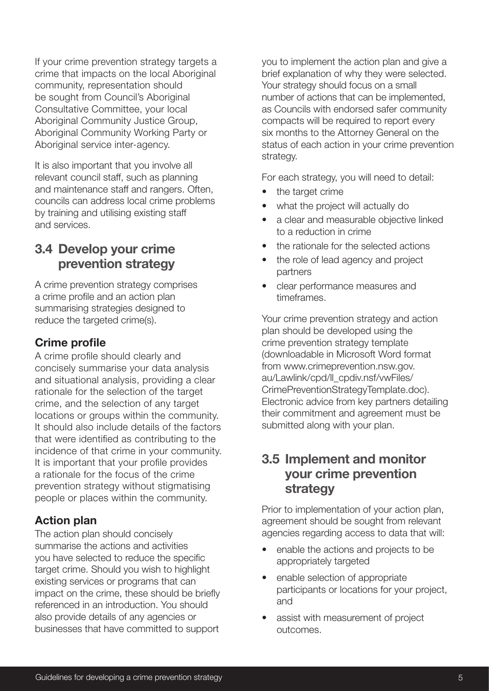If your crime prevention strategy targets a crime that impacts on the local Aboriginal community, representation should be sought from Council's Aboriginal Consultative Committee, your local Aboriginal Community Justice Group, Aboriginal Community Working Party or Aboriginal service inter-agency.

It is also important that you involve all relevant council staff, such as planning and maintenance staff and rangers. Often, councils can address local crime problems by training and utilising existing staff and services.

## 3.4 Develop your crime prevention strategy

A crime prevention strategy comprises a crime profile and an action plan summarising strategies designed to reduce the targeted crime(s).

#### Crime profile

A crime profile should clearly and concisely summarise your data analysis and situational analysis, providing a clear rationale for the selection of the target crime, and the selection of any target locations or groups within the community. It should also include details of the factors that were identified as contributing to the incidence of that crime in your community. It is important that your profile provides a rationale for the focus of the crime prevention strategy without stigmatising people or places within the community.

#### Action plan

The action plan should concisely summarise the actions and activities you have selected to reduce the specific target crime. Should you wish to highlight existing services or programs that can impact on the crime, these should be briefly referenced in an introduction. You should also provide details of any agencies or businesses that have committed to support

you to implement the action plan and give a brief explanation of why they were selected. Your strategy should focus on a small number of actions that can be implemented, as Councils with endorsed safer community compacts will be required to report every six months to the Attorney General on the status of each action in your crime prevention strategy.

For each strategy, you will need to detail:

- the target crime
- what the project will actually do
- a clear and measurable objective linked to a reduction in crime
- the rationale for the selected actions
- the role of lead agency and project partners
- clear performance measures and timeframes.

Your crime prevention strategy and action plan should be developed using the crime prevention strategy template (downloadable in Microsoft Word format from www.crimeprevention.nsw.gov. au/Lawlink/cpd/ll\_cpdiv.nsf/vwFiles/ CrimePreventionStrategyTemplate.doc). Electronic advice from key partners detailing their commitment and agreement must be submitted along with your plan.

#### 3.5 Implement and monitor your crime prevention strategy

Prior to implementation of your action plan, agreement should be sought from relevant agencies regarding access to data that will:

- enable the actions and projects to be appropriately targeted
- enable selection of appropriate participants or locations for your project, and
- assist with measurement of project outcomes.